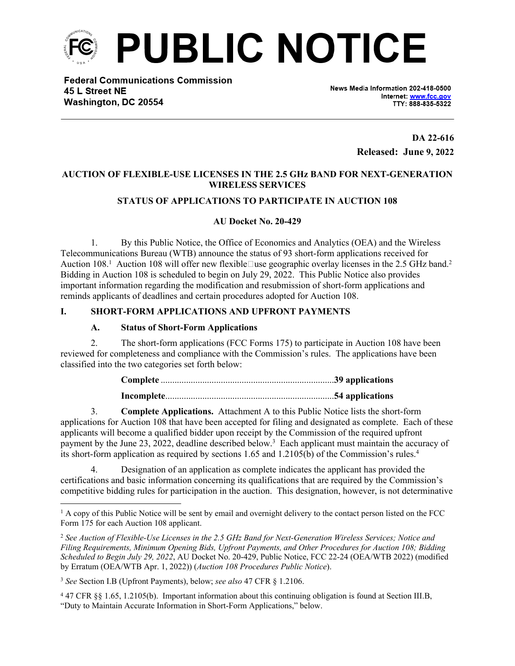

**Federal Communications Commission** 45 L Street NE Washington, DC 20554

News Media Information 202-418-0500 Internet: www.fcc.gov TTY: 888-835-5322

> **DA 22-616 Released: June 9, 2022**

#### **AUCTION OF FLEXIBLE-USE LICENSES IN THE 2.5 GHz BAND FOR NEXT-GENERATION WIRELESS SERVICES**

#### **STATUS OF APPLICATIONS TO PARTICIPATE IN AUCTION 108**

#### **AU Docket No. 20-429**

1. By this Public Notice, the Office of Economics and Analytics (OEA) and the Wireless Telecommunications Bureau (WTB) announce the status of 93 short-form applications received for Auction 108.<sup>1</sup> Auction 108 will offer new flexible use geographic overlay licenses in the 2.5 GHz band.<sup>2</sup> Bidding in Auction 108 is scheduled to begin on July 29, 2022. This Public Notice also provides important information regarding the modification and resubmission of short-form applications and reminds applicants of deadlines and certain procedures adopted for Auction 108.

#### **I. SHORT-FORM APPLICATIONS AND UPFRONT PAYMENTS**

#### **A. Status of Short-Form Applications**

2. The short-form applications (FCC Forms 175) to participate in Auction 108 have been reviewed for completeness and compliance with the Commission's rules. The applications have been classified into the two categories set forth below:

3. **Complete Applications.** Attachment A to this Public Notice lists the short-form applications for Auction 108 that have been accepted for filing and designated as complete. Each of these applicants will become a qualified bidder upon receipt by the Commission of the required upfront payment by the June 23, 2022, deadline described below.<sup>3</sup> Each applicant must maintain the accuracy of its short-form application as required by sections 1.65 and 1.2105(b) of the Commission's rules.<sup>4</sup>

4. Designation of an application as complete indicates the applicant has provided the certifications and basic information concerning its qualifications that are required by the Commission's competitive bidding rules for participation in the auction. This designation, however, is not determinative

<sup>&</sup>lt;sup>1</sup> A copy of this Public Notice will be sent by email and overnight delivery to the contact person listed on the FCC Form 175 for each Auction 108 applicant.

<sup>2</sup> *See Auction of Flexible-Use Licenses in the 2.5 GHz Band for Next-Generation Wireless Services; Notice and Filing Requirements, Minimum Opening Bids, Upfront Payments, and Other Procedures for Auction 108; Bidding Scheduled to Begin July 29, 2022*, AU Docket No. 20-429, Public Notice, FCC 22-24 (OEA/WTB 2022) (modified by Erratum (OEA/WTB Apr. 1, 2022)) (*Auction 108 Procedures Public Notice*).

<sup>3</sup> *See* Section I.B (Upfront Payments), below; *see also* 47 CFR § 1.2106.

<sup>4</sup> 47 CFR §§ 1.65, 1.2105(b). Important information about this continuing obligation is found at Section III.B, "Duty to Maintain Accurate Information in Short-Form Applications," below.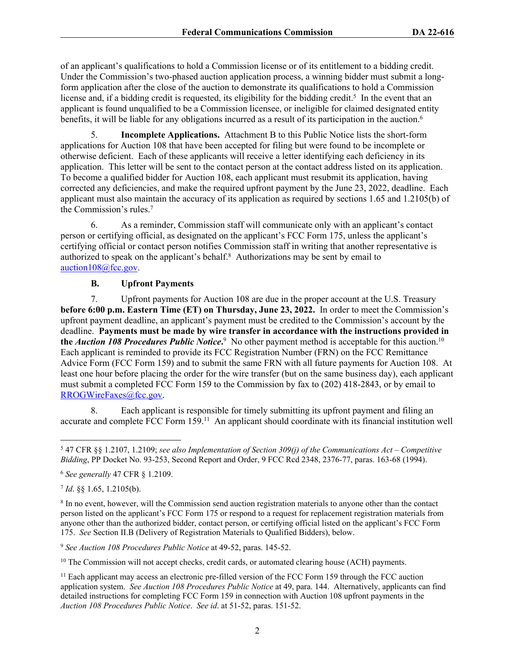of an applicant's qualifications to hold a Commission license or of its entitlement to a bidding credit. Under the Commission's two-phased auction application process, a winning bidder must submit a longform application after the close of the auction to demonstrate its qualifications to hold a Commission license and, if a bidding credit is requested, its eligibility for the bidding credit.<sup>5</sup> In the event that an applicant is found unqualified to be a Commission licensee, or ineligible for claimed designated entity benefits, it will be liable for any obligations incurred as a result of its participation in the auction.<sup>6</sup>

5. **Incomplete Applications.** Attachment B to this Public Notice lists the short-form applications for Auction 108 that have been accepted for filing but were found to be incomplete or otherwise deficient. Each of these applicants will receive a letter identifying each deficiency in its application. This letter will be sent to the contact person at the contact address listed on its application. To become a qualified bidder for Auction 108, each applicant must resubmit its application, having corrected any deficiencies, and make the required upfront payment by the June 23, 2022, deadline. Each applicant must also maintain the accuracy of its application as required by sections 1.65 and 1.2105(b) of the Commission's rules.<sup>7</sup>

6. As a reminder, Commission staff will communicate only with an applicant's contact person or certifying official, as designated on the applicant's FCC Form 175, unless the applicant's certifying official or contact person notifies Commission staff in writing that another representative is authorized to speak on the applicant's behalf. $8$  Authorizations may be sent by email to [auction108@fcc.gov.](mailto:auction108@fcc.gov)

### **B. Upfront Payments**

7. Upfront payments for Auction 108 are due in the proper account at the U.S. Treasury **before 6:00 p.m. Eastern Time (ET) on Thursday, June 23, 2022.** In order to meet the Commission's upfront payment deadline, an applicant's payment must be credited to the Commission's account by the deadline. **Payments must be made by wire transfer in accordance with the instructions provided in the** *Auction 108 Procedures Public Notice*.<sup>9</sup> No other payment method is acceptable for this auction.<sup>10</sup> Each applicant is reminded to provide its FCC Registration Number (FRN) on the FCC Remittance Advice Form (FCC Form 159) and to submit the same FRN with all future payments for Auction 108. At least one hour before placing the order for the wire transfer (but on the same business day), each applicant must submit a completed FCC Form 159 to the Commission by fax to (202) 418-2843, or by email to [RROGWireFaxes@fcc.gov](mailto:RROGWireFaxes@fcc.gov).

8. Each applicant is responsible for timely submitting its upfront payment and filing an accurate and complete FCC Form 159.<sup>11</sup> An applicant should coordinate with its financial institution well

<sup>5</sup> 47 CFR §§ 1.2107, 1.2109; *see also Implementation of Section 309(j) of the Communications Act – Competitive Bidding*, PP Docket No. 93-253, Second Report and Order, 9 FCC Rcd 2348, 2376-77, paras. 163-68 (1994).

<sup>6</sup> *See generally* 47 CFR § 1.2109.

<sup>7</sup> *Id*. §§ 1.65, 1.2105(b).

<sup>&</sup>lt;sup>8</sup> In no event, however, will the Commission send auction registration materials to anyone other than the contact person listed on the applicant's FCC Form 175 or respond to a request for replacement registration materials from anyone other than the authorized bidder, contact person, or certifying official listed on the applicant's FCC Form 175. *See* Section II.B (Delivery of Registration Materials to Qualified Bidders), below.

<sup>9</sup> *See Auction 108 Procedures Public Notice* at 49-52, paras. 145-52.

<sup>&</sup>lt;sup>10</sup> The Commission will not accept checks, credit cards, or automated clearing house (ACH) payments.

<sup>&</sup>lt;sup>11</sup> Each applicant may access an electronic pre-filled version of the FCC Form 159 through the FCC auction application system. *See Auction 108 Procedures Public Notice* at 49, para. 144. Alternatively, applicants can find detailed instructions for completing FCC Form 159 in connection with Auction 108 upfront payments in the *Auction 108 Procedures Public Notice*. *See id*. at 51-52, paras. 151-52.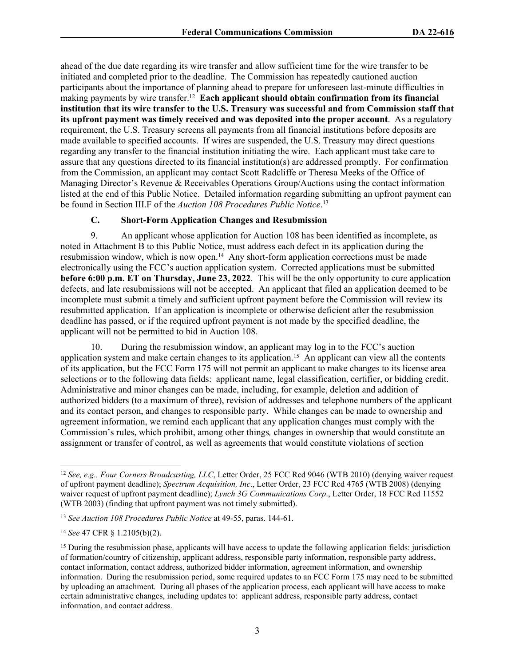ahead of the due date regarding its wire transfer and allow sufficient time for the wire transfer to be initiated and completed prior to the deadline. The Commission has repeatedly cautioned auction participants about the importance of planning ahead to prepare for unforeseen last-minute difficulties in making payments by wire transfer.<sup>12</sup> Each applicant should obtain confirmation from its financial **institution that its wire transfer to the U.S. Treasury was successful and from Commission staff that its upfront payment was timely received and was deposited into the proper account**. As a regulatory requirement, the U.S. Treasury screens all payments from all financial institutions before deposits are made available to specified accounts. If wires are suspended, the U.S. Treasury may direct questions regarding any transfer to the financial institution initiating the wire. Each applicant must take care to assure that any questions directed to its financial institution(s) are addressed promptly. For confirmation from the Commission, an applicant may contact Scott Radcliffe or Theresa Meeks of the Office of Managing Director's Revenue & Receivables Operations Group/Auctions using the contact information listed at the end of this Public Notice. Detailed information regarding submitting an upfront payment can be found in Section III.F of the *Auction 108 Procedures Public Notice*. 13

#### **C. Short-Form Application Changes and Resubmission**

9. An applicant whose application for Auction 108 has been identified as incomplete, as noted in Attachment B to this Public Notice, must address each defect in its application during the resubmission window, which is now open.<sup>14</sup> Any short-form application corrections must be made electronically using the FCC's auction application system. Corrected applications must be submitted **before 6:00 p.m. ET on Thursday, June 23, 2022**.This will be the only opportunity to cure application defects, and late resubmissions will not be accepted. An applicant that filed an application deemed to be incomplete must submit a timely and sufficient upfront payment before the Commission will review its resubmitted application. If an application is incomplete or otherwise deficient after the resubmission deadline has passed, or if the required upfront payment is not made by the specified deadline, the applicant will not be permitted to bid in Auction 108.

10. During the resubmission window, an applicant may log in to the FCC's auction application system and make certain changes to its application.<sup>15</sup> An applicant can view all the contents of its application, but the FCC Form 175 will not permit an applicant to make changes to its license area selections or to the following data fields: applicant name, legal classification, certifier, or bidding credit. Administrative and minor changes can be made, including, for example, deletion and addition of authorized bidders (to a maximum of three), revision of addresses and telephone numbers of the applicant and its contact person, and changes to responsible party. While changes can be made to ownership and agreement information, we remind each applicant that any application changes must comply with the Commission's rules, which prohibit, among other things*,* changes in ownership that would constitute an assignment or transfer of control, as well as agreements that would constitute violations of section

<sup>12</sup> *See, e.g., Four Corners Broadcasting, LLC*, Letter Order, 25 FCC Rcd 9046 (WTB 2010) (denying waiver request of upfront payment deadline); *Spectrum Acquisition, Inc*., Letter Order, 23 FCC Rcd 4765 (WTB 2008) (denying waiver request of upfront payment deadline); *Lynch 3G Communications Corp*., Letter Order, 18 FCC Rcd 11552 (WTB 2003) (finding that upfront payment was not timely submitted).

<sup>13</sup> *See Auction 108 Procedures Public Notice* at 49-55, paras. 144-61.

<sup>14</sup> *See* 47 CFR § 1.2105(b)(2).

<sup>&</sup>lt;sup>15</sup> During the resubmission phase, applicants will have access to update the following application fields: jurisdiction of formation/country of citizenship, applicant address, responsible party information, responsible party address, contact information, contact address, authorized bidder information, agreement information, and ownership information. During the resubmission period, some required updates to an FCC Form 175 may need to be submitted by uploading an attachment. During all phases of the application process, each applicant will have access to make certain administrative changes, including updates to: applicant address, responsible party address, contact information, and contact address.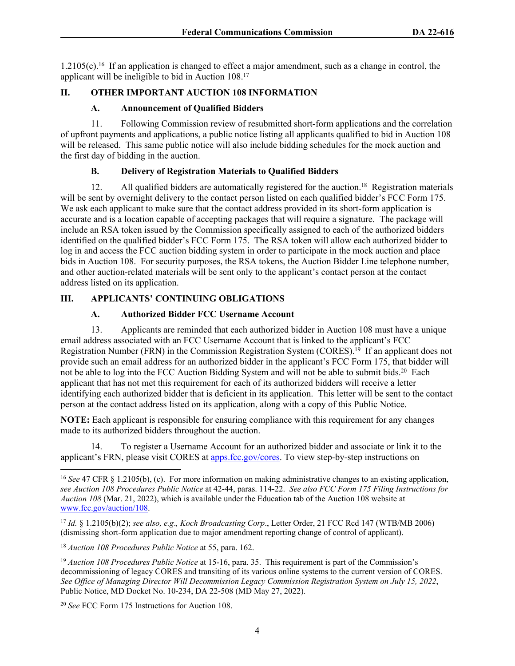1.2105(c).<sup>16</sup> If an application is changed to effect a major amendment, such as a change in control, the applicant will be ineligible to bid in Auction 108.<sup>17</sup>

### **II. OTHER IMPORTANT AUCTION 108 INFORMATION**

#### **A. Announcement of Qualified Bidders**

11. Following Commission review of resubmitted short-form applications and the correlation of upfront payments and applications, a public notice listing all applicants qualified to bid in Auction 108 will be released. This same public notice will also include bidding schedules for the mock auction and the first day of bidding in the auction.

#### **B. Delivery of Registration Materials to Qualified Bidders**

12. All qualified bidders are automatically registered for the auction.<sup>18</sup> Registration materials will be sent by overnight delivery to the contact person listed on each qualified bidder's FCC Form 175. We ask each applicant to make sure that the contact address provided in its short-form application is accurate and is a location capable of accepting packages that will require a signature. The package will include an RSA token issued by the Commission specifically assigned to each of the authorized bidders identified on the qualified bidder's FCC Form 175. The RSA token will allow each authorized bidder to log in and access the FCC auction bidding system in order to participate in the mock auction and place bids in Auction 108. For security purposes, the RSA tokens, the Auction Bidder Line telephone number, and other auction-related materials will be sent only to the applicant's contact person at the contact address listed on its application.

### **III. APPLICANTS' CONTINUING OBLIGATIONS**

### **A. Authorized Bidder FCC Username Account**

13. Applicants are reminded that each authorized bidder in Auction 108 must have a unique email address associated with an FCC Username Account that is linked to the applicant's FCC Registration Number (FRN) in the Commission Registration System (CORES).<sup>19</sup> If an applicant does not provide such an email address for an authorized bidder in the applicant's FCC Form 175, that bidder will not be able to log into the FCC Auction Bidding System and will not be able to submit bids.<sup>20</sup> Each applicant that has not met this requirement for each of its authorized bidders will receive a letter identifying each authorized bidder that is deficient in its application. This letter will be sent to the contact person at the contact address listed on its application, along with a copy of this Public Notice.

**NOTE:** Each applicant is responsible for ensuring compliance with this requirement for any changes made to its authorized bidders throughout the auction.

14. To register a Username Account for an authorized bidder and associate or link it to the applicant's FRN, please visit CORES at [apps.fcc.gov/cores.](https://apps.fcc.gov/cores/userLogin.do) To view step-by-step instructions on

<sup>16</sup> *See* 47 CFR § 1.2105(b), (c). For more information on making administrative changes to an existing application, *see Auction 108 Procedures Public Notice* at 42-44, paras. 114-22. *See also FCC Form 175 Filing Instructions for Auction 108* (Mar. 21, 2022), which is available under the Education tab of the Auction 108 website at [www.fcc.gov/auction/108.](https://www.fcc.gov/auction/108)

<sup>17</sup> *Id.* § 1.2105(b)(2); *see also, e.g*.*, Koch Broadcasting Corp*., Letter Order, 21 FCC Rcd 147 (WTB/MB 2006) (dismissing short-form application due to major amendment reporting change of control of applicant).

<sup>18</sup> *Auction 108 Procedures Public Notice* at 55, para. 162.

<sup>19</sup> *Auction 108 Procedures Public Notice* at 15-16, para. 35. This requirement is part of the Commission's decommissioning of legacy CORES and transiting of its various online systems to the current version of CORES. *See Office of Managing Director Will Decommission Legacy Commission Registration System on July 15, 2022*, Public Notice, MD Docket No. 10-234, DA 22-508 (MD May 27, 2022).

<sup>20</sup> *See* FCC Form 175 Instructions for Auction 108.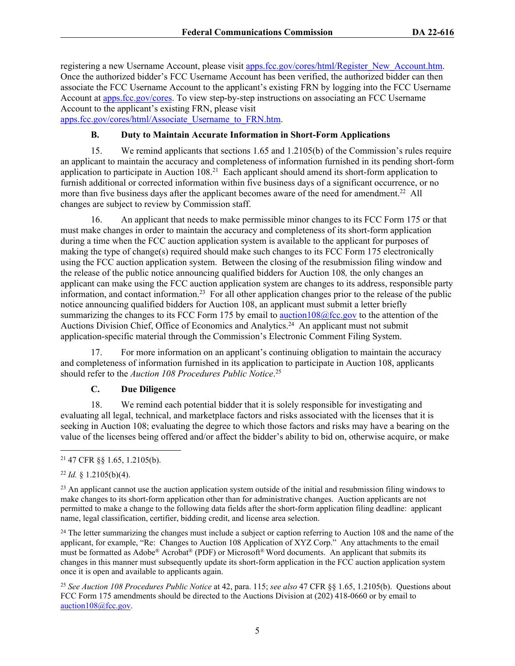registering a new Username Account, please visit [apps.fcc.gov/cores/html/Register\\_New\\_Account.htm](https://apps.fcc.gov/cores/html/Register_New_Account.htm). Once the authorized bidder's FCC Username Account has been verified, the authorized bidder can then associate the FCC Username Account to the applicant's existing FRN by logging into the FCC Username Account at [apps.fcc.gov/cores.](https://apps.fcc.gov/cores/userLogin.do) To view step-by-step instructions on associating an FCC Username Account to the applicant's existing FRN, please visit [apps.fcc.gov/cores/html/Associate\\_Username\\_to\\_FRN.htm.](https://apps.fcc.gov/cores/html/Associate_Username_to_FRN.htm)

**B. Duty to Maintain Accurate Information in Short-Form Applications**

15. We remind applicants that sections 1.65 and 1.2105(b) of the Commission's rules require an applicant to maintain the accuracy and completeness of information furnished in its pending short-form application to participate in Auction 108.<sup>21</sup> Each applicant should amend its short-form application to furnish additional or corrected information within five business days of a significant occurrence, or no more than five business days after the applicant becomes aware of the need for amendment.<sup>22</sup> All changes are subject to review by Commission staff.

16. An applicant that needs to make permissible minor changes to its FCC Form 175 or that must make changes in order to maintain the accuracy and completeness of its short-form application during a time when the FCC auction application system is available to the applicant for purposes of making the type of change(s) required should make such changes to its FCC Form 175 electronically using the FCC auction application system. Between the closing of the resubmission filing window and the release of the public notice announcing qualified bidders for Auction 108*,* the only changes an applicant can make using the FCC auction application system are changes to its address, responsible party information, and contact information.<sup>23</sup> For all other application changes prior to the release of the public notice announcing qualified bidders for Auction 108, an applicant must submit a letter briefly summarizing the changes to its FCC Form 175 by email to [auction108@fcc.gov](mailto:auction108@fcc.gov) to the attention of the Auctions Division Chief, Office of Economics and Analytics.<sup>24</sup> An applicant must not submit application-specific material through the Commission's Electronic Comment Filing System.

17. For more information on an applicant's continuing obligation to maintain the accuracy and completeness of information furnished in its application to participate in Auction 108, applicants should refer to the *Auction 108 Procedures Public Notice*. 25

#### **C. Due Diligence**

18. We remind each potential bidder that it is solely responsible for investigating and evaluating all legal, technical, and marketplace factors and risks associated with the licenses that it is seeking in Auction 108; evaluating the degree to which those factors and risks may have a bearing on the value of the licenses being offered and/or affect the bidder's ability to bid on, otherwise acquire, or make

<sup>24</sup> The letter summarizing the changes must include a subject or caption referring to Auction 108 and the name of the applicant, for example, "Re: Changes to Auction 108 Application of XYZ Corp." Any attachments to the email must be formatted as Adobe® Acrobat® (PDF) or Microsoft® Word documents. An applicant that submits its changes in this manner must subsequently update its short-form application in the FCC auction application system once it is open and available to applicants again.

<sup>25</sup> *See Auction 108 Procedures Public Notice* at 42, para. 115; *see also* 47 CFR §§ 1.65, 1.2105(b). Questions about FCC Form 175 amendments should be directed to the Auctions Division at (202) 418-0660 or by email to [auction108@fcc.gov](mailto:auction108@fcc.gov).

<sup>21</sup> 47 CFR §§ 1.65, 1.2105(b).

<sup>22</sup> *Id.* § 1.2105(b)(4).

<sup>&</sup>lt;sup>23</sup> An applicant cannot use the auction application system outside of the initial and resubmission filing windows to make changes to its short-form application other than for administrative changes. Auction applicants are not permitted to make a change to the following data fields after the short-form application filing deadline: applicant name, legal classification, certifier, bidding credit, and license area selection.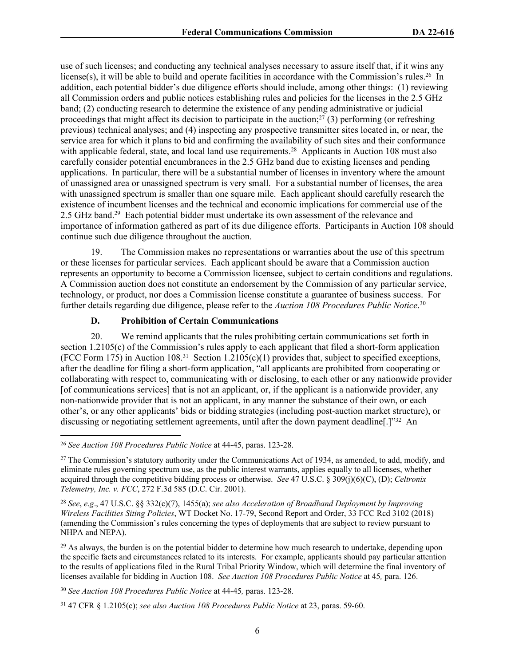use of such licenses; and conducting any technical analyses necessary to assure itself that, if it wins any license(s), it will be able to build and operate facilities in accordance with the Commission's rules.<sup>26</sup> In addition, each potential bidder's due diligence efforts should include, among other things: (1) reviewing all Commission orders and public notices establishing rules and policies for the licenses in the 2.5 GHz band; (2) conducting research to determine the existence of any pending administrative or judicial proceedings that might affect its decision to participate in the auction;<sup>27</sup> (3) performing (or refreshing previous) technical analyses; and (4) inspecting any prospective transmitter sites located in, or near, the service area for which it plans to bid and confirming the availability of such sites and their conformance with applicable federal, state, and local land use requirements.<sup>28</sup> Applicants in Auction 108 must also carefully consider potential encumbrances in the 2.5 GHz band due to existing licenses and pending applications. In particular, there will be a substantial number of licenses in inventory where the amount of unassigned area or unassigned spectrum is very small. For a substantial number of licenses, the area with unassigned spectrum is smaller than one square mile. Each applicant should carefully research the existence of incumbent licenses and the technical and economic implications for commercial use of the 2.5 GHz band.<sup>29</sup> Each potential bidder must undertake its own assessment of the relevance and importance of information gathered as part of its due diligence efforts. Participants in Auction 108 should continue such due diligence throughout the auction.

19. The Commission makes no representations or warranties about the use of this spectrum or these licenses for particular services. Each applicant should be aware that a Commission auction represents an opportunity to become a Commission licensee, subject to certain conditions and regulations. A Commission auction does not constitute an endorsement by the Commission of any particular service, technology, or product, nor does a Commission license constitute a guarantee of business success. For further details regarding due diligence, please refer to the *Auction 108 Procedures Public Notice*. 30

#### **D. Prohibition of Certain Communications**

20. We remind applicants that the rules prohibiting certain communications set forth in section 1.2105(c) of the Commission's rules apply to each applicant that filed a short-form application (FCC Form 175) in Auction 108.<sup>31</sup> Section 1.2105(c)(1) provides that, subject to specified exceptions, after the deadline for filing a short-form application, "all applicants are prohibited from cooperating or collaborating with respect to, communicating with or disclosing, to each other or any nationwide provider [of communications services] that is not an applicant, or, if the applicant is a nationwide provider, any non-nationwide provider that is not an applicant, in any manner the substance of their own, or each other's, or any other applicants' bids or bidding strategies (including post-auction market structure), or discussing or negotiating settlement agreements, until after the down payment deadline. [1<sup>732</sup> An

<sup>26</sup> *See Auction 108 Procedures Public Notice* at 44-45, paras. 123-28.

<sup>&</sup>lt;sup>27</sup> The Commission's statutory authority under the Communications Act of 1934, as amended, to add, modify, and eliminate rules governing spectrum use, as the public interest warrants, applies equally to all licenses, whether acquired through the competitive bidding process or otherwise. *See* 47 U.S.C. § 309(j)(6)(C), (D); *Celtronix Telemetry, Inc. v. FCC*, 272 F.3d 585 (D.C. Cir. 2001).

<sup>28</sup> *See*, *e*.*g*., 47 U.S.C. §§ 332(c)(7), 1455(a); *see also Acceleration of Broadband Deployment by Improving Wireless Facilities Siting Policies*, WT Docket No. 17-79, Second Report and Order, 33 FCC Rcd 3102 (2018) (amending the Commission's rules concerning the types of deployments that are subject to review pursuant to NHPA and NEPA).

 $^{29}$  As always, the burden is on the potential bidder to determine how much research to undertake, depending upon the specific facts and circumstances related to its interests. For example, applicants should pay particular attention to the results of applications filed in the Rural Tribal Priority Window, which will determine the final inventory of licenses available for bidding in Auction 108. *See Auction 108 Procedures Public Notice* at 45*,* para. 126.

<sup>30</sup> *See Auction 108 Procedures Public Notice* at 44-45*,* paras. 123-28.

<sup>31</sup> 47 CFR § 1.2105(c); *see also Auction 108 Procedures Public Notice* at 23, paras. 59-60.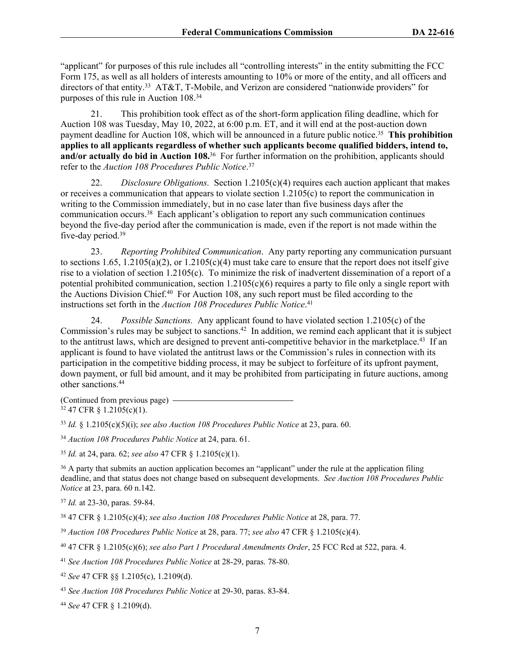"applicant" for purposes of this rule includes all "controlling interests" in the entity submitting the FCC Form 175, as well as all holders of interests amounting to 10% or more of the entity, and all officers and directors of that entity.<sup>33</sup> AT&T, T-Mobile, and Verizon are considered "nationwide providers" for purposes of this rule in Auction 108.<sup>34</sup>

21. This prohibition took effect as of the short-form application filing deadline, which for Auction 108 was Tuesday, May 10, 2022, at 6:00 p.m. ET, and it will end at the post-auction down payment deadline for Auction 108, which will be announced in a future public notice.<sup>35</sup> This prohibition **applies to all applicants regardless of whether such applicants become qualified bidders, intend to,**  and/or actually do bid in Auction 108.<sup>36</sup> For further information on the prohibition, applicants should refer to the *Auction 108 Procedures Public Notice*. 37

22. *Disclosure Obligations.* Section 1.2105(c)(4) requires each auction applicant that makes or receives a communication that appears to violate section  $1.2105(c)$  to report the communication in writing to the Commission immediately, but in no case later than five business days after the communication occurs.<sup>38</sup> Each applicant's obligation to report any such communication continues beyond the five-day period after the communication is made, even if the report is not made within the five-day period.<sup>39</sup>

23. *Reporting Prohibited Communication*. Any party reporting any communication pursuant to sections  $1.65$ ,  $1.2105(a)(2)$ , or  $1.2105(c)(4)$  must take care to ensure that the report does not itself give rise to a violation of section 1.2105(c). To minimize the risk of inadvertent dissemination of a report of a potential prohibited communication, section  $1.2105(c)(6)$  requires a party to file only a single report with the Auctions Division Chief.<sup>40</sup> For Auction 108, any such report must be filed according to the instructions set forth in the *Auction 108 Procedures Public Notice*. 41

24. *Possible Sanctions.* Any applicant found to have violated section 1.2105(c) of the Commission's rules may be subject to sanctions.<sup>42</sup> In addition, we remind each applicant that it is subject to the antitrust laws, which are designed to prevent anti-competitive behavior in the marketplace.<sup>43</sup> If an applicant is found to have violated the antitrust laws or the Commission's rules in connection with its participation in the competitive bidding process, it may be subject to forfeiture of its upfront payment, down payment, or full bid amount, and it may be prohibited from participating in future auctions, among other sanctions.<sup>44</sup>

(Continued from previous page)  $32\,47$  CFR  $\frac{12105(c)(1)}{c}$ .

<sup>33</sup> *Id.* § 1.2105(c)(5)(i); *see also Auction 108 Procedures Public Notice* at 23, para. 60.

<sup>34</sup> *Auction 108 Procedures Public Notice* at 24, para. 61.

<sup>35</sup> *Id.* at 24, para. 62; *see also* 47 CFR § 1.2105(c)(1).

<sup>36</sup> A party that submits an auction application becomes an "applicant" under the rule at the application filing deadline, and that status does not change based on subsequent developments. *See Auction 108 Procedures Public Notice* at 23, para. 60 n.142.

<sup>37</sup> *Id.* at 23-30, paras. 59-84.

<sup>38</sup> 47 CFR § 1.2105(c)(4); *see also Auction 108 Procedures Public Notice* at 28, para. 77.

<sup>39</sup> *Auction 108 Procedures Public Notice* at 28, para. 77; *see also* 47 CFR § 1.2105(c)(4).

<sup>40</sup> 47 CFR § 1.2105(c)(6); *see also Part 1 Procedural Amendments Order*, 25 FCC Rcd at 522, para. 4.

<sup>41</sup> *See Auction 108 Procedures Public Notice* at 28-29, paras. 78-80.

<sup>42</sup> *See* 47 CFR §§ 1.2105(c), 1.2109(d).

<sup>43</sup> *See Auction 108 Procedures Public Notice* at 29-30, paras. 83-84.

<sup>44</sup> *See* 47 CFR § 1.2109(d).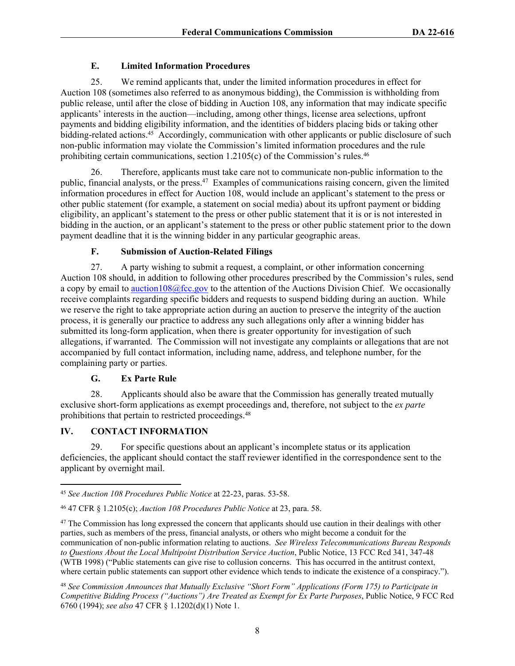#### **E. Limited Information Procedures**

25. We remind applicants that, under the limited information procedures in effect for Auction 108 (sometimes also referred to as anonymous bidding), the Commission is withholding from public release, until after the close of bidding in Auction 108, any information that may indicate specific applicants' interests in the auction—including, among other things, license area selections, upfront payments and bidding eligibility information, and the identities of bidders placing bids or taking other bidding-related actions.<sup>45</sup> Accordingly, communication with other applicants or public disclosure of such non-public information may violate the Commission's limited information procedures and the rule prohibiting certain communications, section  $1.2105(c)$  of the Commission's rules.<sup>46</sup>

26. Therefore, applicants must take care not to communicate non-public information to the public, financial analysts, or the press.<sup>47</sup> Examples of communications raising concern, given the limited information procedures in effect for Auction 108, would include an applicant's statement to the press or other public statement (for example, a statement on social media) about its upfront payment or bidding eligibility, an applicant's statement to the press or other public statement that it is or is not interested in bidding in the auction, or an applicant's statement to the press or other public statement prior to the down payment deadline that it is the winning bidder in any particular geographic areas.

#### **F. Submission of Auction-Related Filings**

27. A party wishing to submit a request, a complaint, or other information concerning Auction 108 should, in addition to following other procedures prescribed by the Commission's rules, send a copy by email to [auction108@fcc.gov](mailto:auction108@fcc.gov) to the attention of the Auctions Division Chief. We occasionally receive complaints regarding specific bidders and requests to suspend bidding during an auction. While we reserve the right to take appropriate action during an auction to preserve the integrity of the auction process, it is generally our practice to address any such allegations only after a winning bidder has submitted its long-form application, when there is greater opportunity for investigation of such allegations, if warranted. The Commission will not investigate any complaints or allegations that are not accompanied by full contact information, including name, address, and telephone number, for the complaining party or parties.

#### **G. Ex Parte Rule**

28. Applicants should also be aware that the Commission has generally treated mutually exclusive short-form applications as exempt proceedings and, therefore, not subject to the *ex parte* prohibitions that pertain to restricted proceedings.<sup>48</sup>

#### **IV. CONTACT INFORMATION**

29. For specific questions about an applicant's incomplete status or its application deficiencies, the applicant should contact the staff reviewer identified in the correspondence sent to the applicant by overnight mail.

<sup>45</sup> *See Auction 108 Procedures Public Notice* at 22-23, paras. 53-58.

<sup>46</sup> 47 CFR § 1.2105(c); *Auction 108 Procedures Public Notice* at 23, para. 58.

<sup>&</sup>lt;sup>47</sup> The Commission has long expressed the concern that applicants should use caution in their dealings with other parties, such as members of the press, financial analysts, or others who might become a conduit for the communication of non-public information relating to auctions. *See Wireless Telecommunications Bureau Responds to Questions About the Local Multipoint Distribution Service Auction*, Public Notice, 13 FCC Rcd 341, 347-48 (WTB 1998) ("Public statements can give rise to collusion concerns. This has occurred in the antitrust context, where certain public statements can support other evidence which tends to indicate the existence of a conspiracy.").

<sup>48</sup> *See Commission Announces that Mutually Exclusive "Short Form" Applications (Form 175) to Participate in Competitive Bidding Process ("Auctions") Are Treated as Exempt for Ex Parte Purposes*, Public Notice, 9 FCC Rcd 6760 (1994); *see also* 47 CFR § 1.1202(d)(1) Note 1.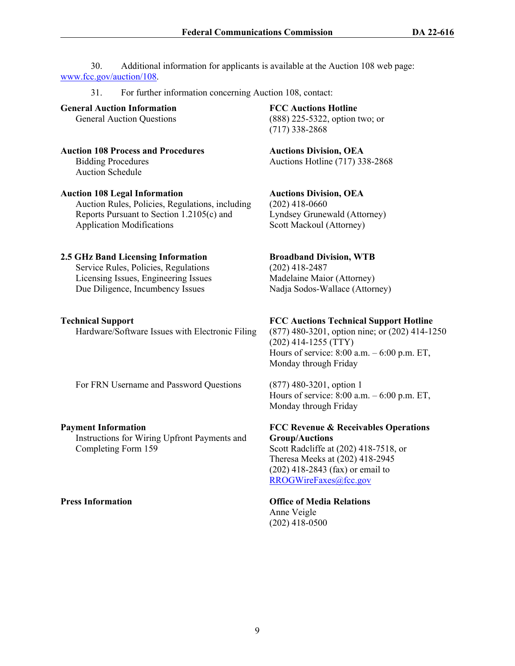30. Additional information for applicants is available at the Auction 108 web page: [www.fcc.gov/auction/108](https://www.fcc.gov/auction/108).

31. For further information concerning Auction 108, contact:

**General Auction Information** General Auction Questions

**Auction 108 Process and Procedures** Bidding Procedures

Auction Schedule

#### **Auction 108 Legal Information**

Auction Rules, Policies, Regulations, including Reports Pursuant to Section 1.2105(c) and Application Modifications

#### **2.5 GHz Band Licensing Information**

Service Rules, Policies, Regulations Licensing Issues, Engineering Issues Due Diligence, Incumbency Issues

#### **Technical Support**

Hardware/Software Issues with Electronic Filing

For FRN Username and Password Questions

#### **Payment Information**

Instructions for Wiring Upfront Payments and Completing Form 159

**FCC Auctions Hotline**  (888) 225-5322, option two; or (717) 338-2868

**Auctions Division, OEA** Auctions Hotline (717) 338-2868

**Auctions Division, OEA** (202) 418-0660 Lyndsey Grunewald (Attorney) Scott Mackoul (Attorney)

# **Broadband Division, WTB**

(202) 418-2487 Madelaine Maior (Attorney) Nadja Sodos-Wallace (Attorney)

#### **FCC Auctions Technical Support Hotline**

(877) 480-3201, option nine; or (202) 414-1250 (202) 414-1255 (TTY) Hours of service: 8:00 a.m. – 6:00 p.m. ET, Monday through Friday

(877) 480-3201, option 1 Hours of service: 8:00 a.m. – 6:00 p.m. ET, Monday through Friday

**FCC Revenue & Receivables Operations Group/Auctions**  Scott Radcliffe at (202) 418-7518, or Theresa Meeks at (202) 418-2945

(202) 418-2843 (fax) or email to [RROGWireFaxes@fcc.gov](mailto:RROGWireFaxes@fcc.gov)

## **Press Information Office of Media Relations**

Anne Veigle (202) 418-0500